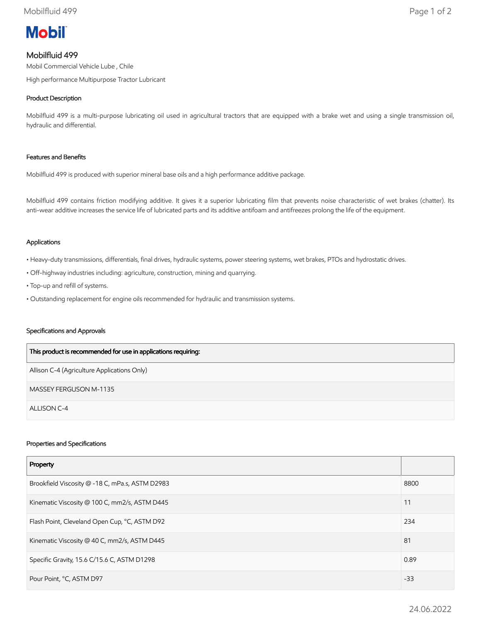

# Mobilfluid 499

Mobil Commercial Vehicle Lube , Chile

High performance Multipurpose Tractor Lubricant

# Product Description

Mobilfluid 499 is a multi-purpose lubricating oil used in agricultural tractors that are equipped with a brake wet and using a single transmission oil, hydraulic and differential.

## Features and Benefits

Mobilfluid 499 is produced with superior mineral base oils and a high performance additive package.

Mobilfluid 499 contains friction modifying additive. It gives it a superior lubricating film that prevents noise characteristic of wet brakes (chatter). Its anti-wear additive increases the service life of lubricated parts and its additive antifoam and antifreezes prolong the life of the equipment.

#### Applications

- Heavy-duty transmissions, differentials, final drives, hydraulic systems, power steering systems, wet brakes, PTOs and hydrostatic drives.
- Off-highway industries including: agriculture, construction, mining and quarrying.
- Top-up and refill of systems.
- Outstanding replacement for engine oils recommended for hydraulic and transmission systems.

#### Specifications and Approvals

| This product is recommended for use in applications requiring: |
|----------------------------------------------------------------|
| Allison C-4 (Agriculture Applications Only)                    |
| MASSEY FERGUSON M-1135                                         |
| ALLISON C-4                                                    |

#### Properties and Specifications

| Property                                        |       |
|-------------------------------------------------|-------|
| Brookfield Viscosity @ -18 C, mPa.s, ASTM D2983 | 8800  |
| Kinematic Viscosity @ 100 C, mm2/s, ASTM D445   | 11    |
| Flash Point, Cleveland Open Cup, °C, ASTM D92   | 234   |
| Kinematic Viscosity @ 40 C, mm2/s, ASTM D445    | 81    |
| Specific Gravity, 15.6 C/15.6 C, ASTM D1298     | 0.89  |
| Pour Point, °C, ASTM D97                        | $-33$ |